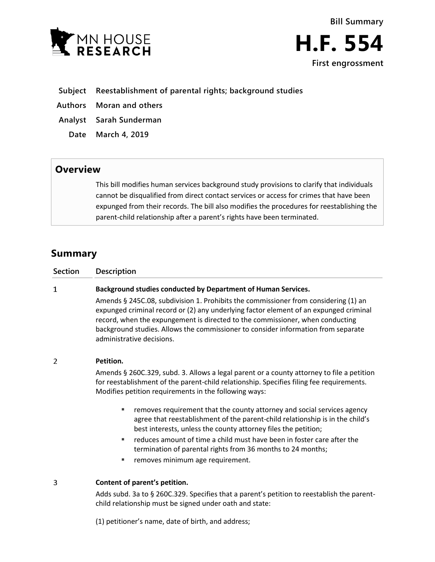



## **Subject Reestablishment of parental rights; background studies**

- **Authors Moran and others**
- **Analyst Sarah Sunderman**
	- **Date March 4, 2019**

# **Overview**

This bill modifies human services background study provisions to clarify that individuals cannot be disqualified from direct contact services or access for crimes that have been expunged from their records. The bill also modifies the procedures for reestablishing the parent-child relationship after a parent's rights have been terminated.

# **Summary**

 $\mathbf{1}$ 

## **Background studies conducted by Department of Human Services.**

Amends § 245C.08, subdivision 1. Prohibits the commissioner from considering (1) an expunged criminal record or (2) any underlying factor element of an expunged criminal record, when the expungement is directed to the commissioner, when conducting background studies. Allows the commissioner to consider information from separate administrative decisions.

#### $\overline{2}$ **Petition.**

Amends § 260C.329, subd. 3. Allows a legal parent or a county attorney to file a petition for reestablishment of the parent-child relationship. Specifies filing fee requirements. Modifies petition requirements in the following ways:

- **F** removes requirement that the county attorney and social services agency agree that reestablishment of the parent-child relationship is in the child's best interests, unless the county attorney files the petition;
- reduces amount of time a child must have been in foster care after the termination of parental rights from 36 months to 24 months;
- removes minimum age requirement.

#### 3 **Content of parent's petition.**

Adds subd. 3a to § 260C.329. Specifies that a parent's petition to reestablish the parentchild relationship must be signed under oath and state:

(1) petitioner's name, date of birth, and address;